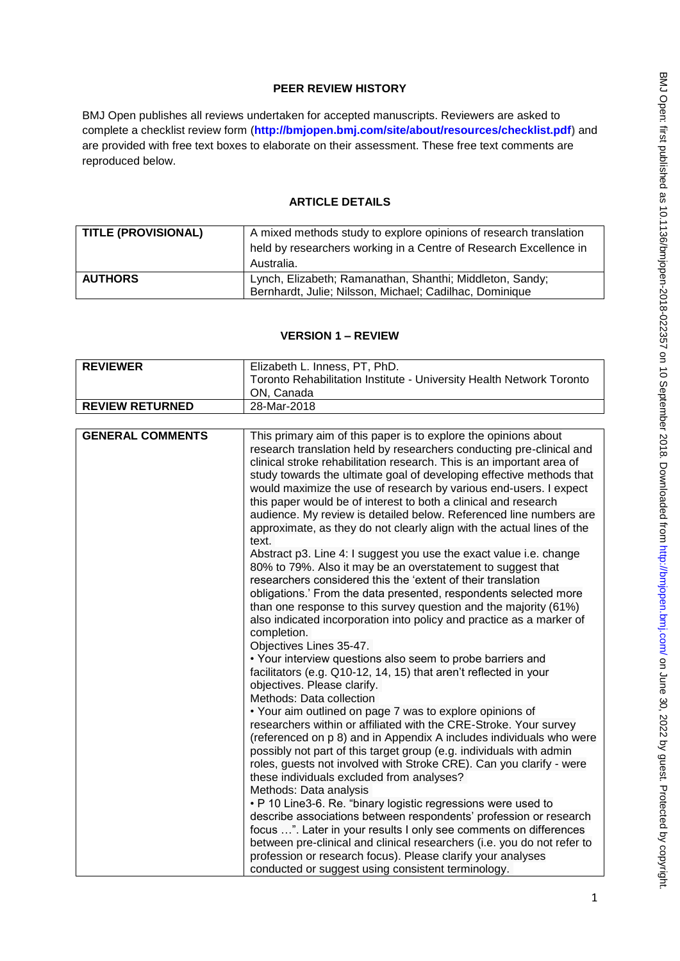# **PEER REVIEW HISTORY**

BMJ Open publishes all reviews undertaken for accepted manuscripts. Reviewers are asked to complete a checklist review form (**[http://bmjopen.bmj.com/site/about/resources/checklist.pdf\)](http://bmjopen.bmj.com/site/about/resources/checklist.pdf)** and are provided with free text boxes to elaborate on their assessment. These free text comments are reproduced below.

## **ARTICLE DETAILS**

| TITLE (PROVISIONAL) | A mixed methods study to explore opinions of research translation<br>held by researchers working in a Centre of Research Excellence in<br>Australia. |
|---------------------|------------------------------------------------------------------------------------------------------------------------------------------------------|
| <b>AUTHORS</b>      | Lynch, Elizabeth; Ramanathan, Shanthi; Middleton, Sandy;<br>Bernhardt, Julie; Nilsson, Michael; Cadilhac, Dominique                                  |

## **VERSION 1 – REVIEW**

| <b>REVIEWER</b>         |                                                                                                                                                                                                                                                                                                                                                                                                                                                                                                                                                                                           |  |
|-------------------------|-------------------------------------------------------------------------------------------------------------------------------------------------------------------------------------------------------------------------------------------------------------------------------------------------------------------------------------------------------------------------------------------------------------------------------------------------------------------------------------------------------------------------------------------------------------------------------------------|--|
|                         | Elizabeth L. Inness, PT, PhD.                                                                                                                                                                                                                                                                                                                                                                                                                                                                                                                                                             |  |
|                         | Toronto Rehabilitation Institute - University Health Network Toronto                                                                                                                                                                                                                                                                                                                                                                                                                                                                                                                      |  |
|                         | ON, Canada                                                                                                                                                                                                                                                                                                                                                                                                                                                                                                                                                                                |  |
| <b>REVIEW RETURNED</b>  | 28-Mar-2018                                                                                                                                                                                                                                                                                                                                                                                                                                                                                                                                                                               |  |
|                         |                                                                                                                                                                                                                                                                                                                                                                                                                                                                                                                                                                                           |  |
| <b>GENERAL COMMENTS</b> | This primary aim of this paper is to explore the opinions about<br>research translation held by researchers conducting pre-clinical and<br>clinical stroke rehabilitation research. This is an important area of<br>study towards the ultimate goal of developing effective methods that<br>would maximize the use of research by various end-users. I expect<br>this paper would be of interest to both a clinical and research<br>audience. My review is detailed below. Referenced line numbers are<br>approximate, as they do not clearly align with the actual lines of the<br>text. |  |
|                         | Abstract p3. Line 4: I suggest you use the exact value i.e. change<br>80% to 79%. Also it may be an overstatement to suggest that<br>researchers considered this the 'extent of their translation<br>obligations.' From the data presented, respondents selected more<br>than one response to this survey question and the majority (61%)<br>also indicated incorporation into policy and practice as a marker of<br>completion.<br>Objectives Lines 35-47.                                                                                                                               |  |
|                         | • Your interview questions also seem to probe barriers and<br>facilitators (e.g. Q10-12, 14, 15) that aren't reflected in your<br>objectives. Please clarify.<br>Methods: Data collection                                                                                                                                                                                                                                                                                                                                                                                                 |  |
|                         | • Your aim outlined on page 7 was to explore opinions of<br>researchers within or affiliated with the CRE-Stroke. Your survey<br>(referenced on p 8) and in Appendix A includes individuals who were<br>possibly not part of this target group (e.g. individuals with admin<br>roles, guests not involved with Stroke CRE). Can you clarify - were<br>these individuals excluded from analyses?                                                                                                                                                                                           |  |
|                         | Methods: Data analysis<br>• P 10 Line3-6. Re. "binary logistic regressions were used to<br>describe associations between respondents' profession or research<br>focus ". Later in your results I only see comments on differences<br>between pre-clinical and clinical researchers (i.e. you do not refer to<br>profession or research focus). Please clarify your analyses<br>conducted or suggest using consistent terminology.                                                                                                                                                         |  |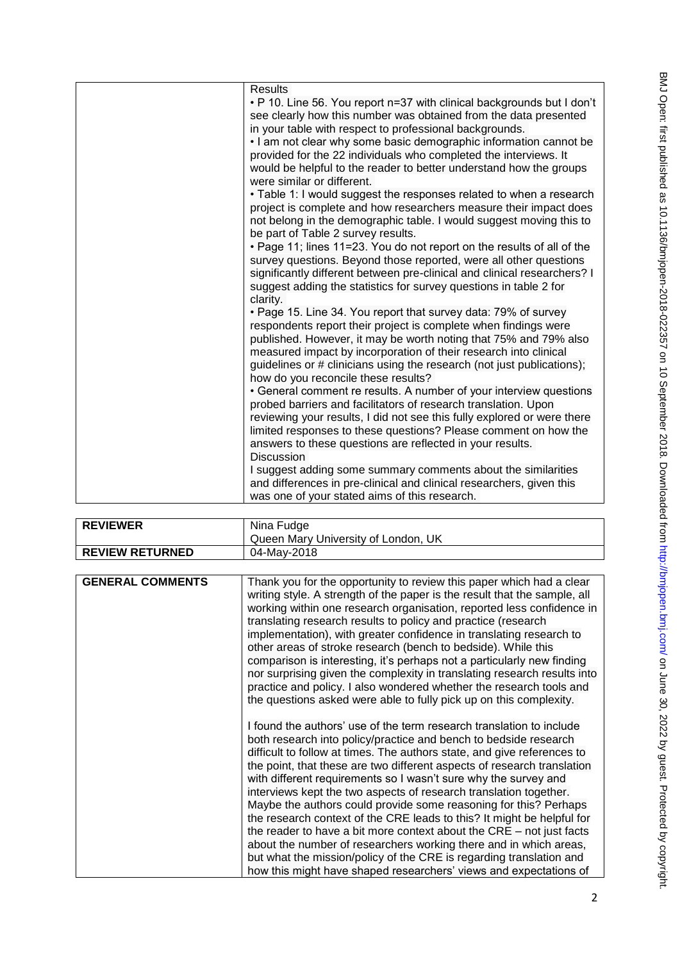| <b>Results</b><br>. P 10. Line 56. You report n=37 with clinical backgrounds but I don't                                                                                                                                                                                                                                                                                                   |
|--------------------------------------------------------------------------------------------------------------------------------------------------------------------------------------------------------------------------------------------------------------------------------------------------------------------------------------------------------------------------------------------|
| see clearly how this number was obtained from the data presented<br>in your table with respect to professional backgrounds.                                                                                                                                                                                                                                                                |
| . I am not clear why some basic demographic information cannot be<br>provided for the 22 individuals who completed the interviews. It<br>would be helpful to the reader to better understand how the groups<br>were similar or different.                                                                                                                                                  |
| • Table 1: I would suggest the responses related to when a research<br>project is complete and how researchers measure their impact does<br>not belong in the demographic table. I would suggest moving this to<br>be part of Table 2 survey results.                                                                                                                                      |
| . Page 11; lines 11=23. You do not report on the results of all of the<br>survey questions. Beyond those reported, were all other questions<br>significantly different between pre-clinical and clinical researchers? I<br>suggest adding the statistics for survey questions in table 2 for<br>clarity.                                                                                   |
| . Page 15. Line 34. You report that survey data: 79% of survey<br>respondents report their project is complete when findings were<br>published. However, it may be worth noting that 75% and 79% also<br>measured impact by incorporation of their research into clinical<br>guidelines or # clinicians using the research (not just publications);<br>how do you reconcile these results? |
| • General comment re results. A number of your interview questions<br>probed barriers and facilitators of research translation. Upon<br>reviewing your results, I did not see this fully explored or were there<br>limited responses to these questions? Please comment on how the<br>answers to these questions are reflected in your results.<br><b>Discussion</b>                       |
| I suggest adding some summary comments about the similarities<br>and differences in pre-clinical and clinical researchers, given this<br>was one of your stated aims of this research.                                                                                                                                                                                                     |

| <b>REVIEWER</b>         | Nina Fudge                                                                                                                                                                                                                                                                                                                                                                                                                                                                                                                                                                                                                                                                                                                                                                                                                                                                                                                                                                                                                                                                                                                                                                                                                                                                                                                                                                                                                                                                                                                                                                                                                |
|-------------------------|---------------------------------------------------------------------------------------------------------------------------------------------------------------------------------------------------------------------------------------------------------------------------------------------------------------------------------------------------------------------------------------------------------------------------------------------------------------------------------------------------------------------------------------------------------------------------------------------------------------------------------------------------------------------------------------------------------------------------------------------------------------------------------------------------------------------------------------------------------------------------------------------------------------------------------------------------------------------------------------------------------------------------------------------------------------------------------------------------------------------------------------------------------------------------------------------------------------------------------------------------------------------------------------------------------------------------------------------------------------------------------------------------------------------------------------------------------------------------------------------------------------------------------------------------------------------------------------------------------------------------|
|                         | Queen Mary University of London, UK                                                                                                                                                                                                                                                                                                                                                                                                                                                                                                                                                                                                                                                                                                                                                                                                                                                                                                                                                                                                                                                                                                                                                                                                                                                                                                                                                                                                                                                                                                                                                                                       |
| <b>REVIEW RETURNED</b>  | 04-May-2018                                                                                                                                                                                                                                                                                                                                                                                                                                                                                                                                                                                                                                                                                                                                                                                                                                                                                                                                                                                                                                                                                                                                                                                                                                                                                                                                                                                                                                                                                                                                                                                                               |
|                         |                                                                                                                                                                                                                                                                                                                                                                                                                                                                                                                                                                                                                                                                                                                                                                                                                                                                                                                                                                                                                                                                                                                                                                                                                                                                                                                                                                                                                                                                                                                                                                                                                           |
| <b>GENERAL COMMENTS</b> | Thank you for the opportunity to review this paper which had a clear<br>writing style. A strength of the paper is the result that the sample, all<br>working within one research organisation, reported less confidence in<br>translating research results to policy and practice (research<br>implementation), with greater confidence in translating research to<br>other areas of stroke research (bench to bedside). While this<br>comparison is interesting, it's perhaps not a particularly new finding<br>nor surprising given the complexity in translating research results into<br>practice and policy. I also wondered whether the research tools and<br>the questions asked were able to fully pick up on this complexity.<br>I found the authors' use of the term research translation to include<br>both research into policy/practice and bench to bedside research<br>difficult to follow at times. The authors state, and give references to<br>the point, that these are two different aspects of research translation<br>with different requirements so I wasn't sure why the survey and<br>interviews kept the two aspects of research translation together.<br>Maybe the authors could provide some reasoning for this? Perhaps<br>the research context of the CRE leads to this? It might be helpful for<br>the reader to have a bit more context about the $CRE - not just facts$<br>about the number of researchers working there and in which areas,<br>but what the mission/policy of the CRE is regarding translation and<br>how this might have shaped researchers' views and expectations of |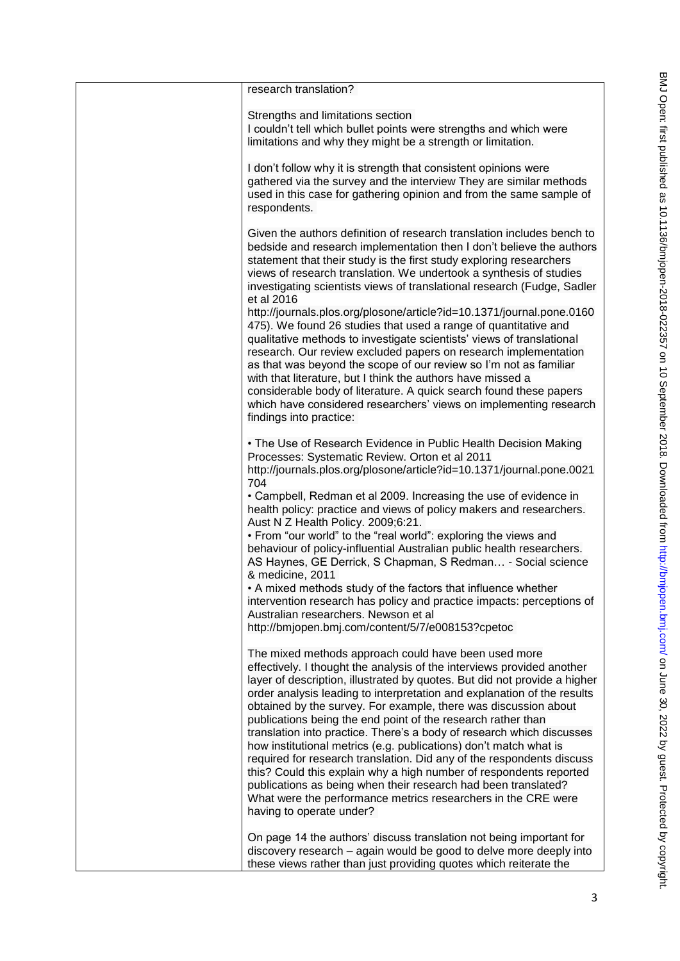| research translation?                                                                                                                                                                                                                                                                                                                                                                                                                                                                                                                                                                                                                                                                                                                                                                                                                                                                 |
|---------------------------------------------------------------------------------------------------------------------------------------------------------------------------------------------------------------------------------------------------------------------------------------------------------------------------------------------------------------------------------------------------------------------------------------------------------------------------------------------------------------------------------------------------------------------------------------------------------------------------------------------------------------------------------------------------------------------------------------------------------------------------------------------------------------------------------------------------------------------------------------|
| Strengths and limitations section<br>I couldn't tell which bullet points were strengths and which were<br>limitations and why they might be a strength or limitation.                                                                                                                                                                                                                                                                                                                                                                                                                                                                                                                                                                                                                                                                                                                 |
| I don't follow why it is strength that consistent opinions were<br>gathered via the survey and the interview They are similar methods<br>used in this case for gathering opinion and from the same sample of<br>respondents.                                                                                                                                                                                                                                                                                                                                                                                                                                                                                                                                                                                                                                                          |
| Given the authors definition of research translation includes bench to<br>bedside and research implementation then I don't believe the authors<br>statement that their study is the first study exploring researchers<br>views of research translation. We undertook a synthesis of studies<br>investigating scientists views of translational research (Fudge, Sadler<br>et al 2016<br>http://journals.plos.org/plosone/article?id=10.1371/journal.pone.0160<br>475). We found 26 studies that used a range of quantitative and<br>qualitative methods to investigate scientists' views of translational<br>research. Our review excluded papers on research implementation<br>as that was beyond the scope of our review so I'm not as familiar<br>with that literature, but I think the authors have missed a                                                                      |
| considerable body of literature. A quick search found these papers<br>which have considered researchers' views on implementing research<br>findings into practice:                                                                                                                                                                                                                                                                                                                                                                                                                                                                                                                                                                                                                                                                                                                    |
| • The Use of Research Evidence in Public Health Decision Making<br>Processes: Systematic Review. Orton et al 2011<br>http://journals.plos.org/plosone/article?id=10.1371/journal.pone.0021<br>704                                                                                                                                                                                                                                                                                                                                                                                                                                                                                                                                                                                                                                                                                     |
| • Campbell, Redman et al 2009. Increasing the use of evidence in<br>health policy: practice and views of policy makers and researchers.<br>Aust N Z Health Policy. 2009;6:21.                                                                                                                                                                                                                                                                                                                                                                                                                                                                                                                                                                                                                                                                                                         |
| • From "our world" to the "real world": exploring the views and<br>behaviour of policy-influential Australian public health researchers.<br>AS Haynes, GE Derrick, S Chapman, S Redman - Social science<br>& medicine, 2011                                                                                                                                                                                                                                                                                                                                                                                                                                                                                                                                                                                                                                                           |
| • A mixed methods study of the factors that influence whether<br>intervention research has policy and practice impacts: perceptions of<br>Australian researchers. Newson et al<br>http://bmjopen.bmj.com/content/5/7/e008153?cpetoc                                                                                                                                                                                                                                                                                                                                                                                                                                                                                                                                                                                                                                                   |
| The mixed methods approach could have been used more<br>effectively. I thought the analysis of the interviews provided another<br>layer of description, illustrated by quotes. But did not provide a higher<br>order analysis leading to interpretation and explanation of the results<br>obtained by the survey. For example, there was discussion about<br>publications being the end point of the research rather than<br>translation into practice. There's a body of research which discusses<br>how institutional metrics (e.g. publications) don't match what is<br>required for research translation. Did any of the respondents discuss<br>this? Could this explain why a high number of respondents reported<br>publications as being when their research had been translated?<br>What were the performance metrics researchers in the CRE were<br>having to operate under? |
| On page 14 the authors' discuss translation not being important for<br>discovery research – again would be good to delve more deeply into<br>these views rather than just providing quotes which reiterate the                                                                                                                                                                                                                                                                                                                                                                                                                                                                                                                                                                                                                                                                        |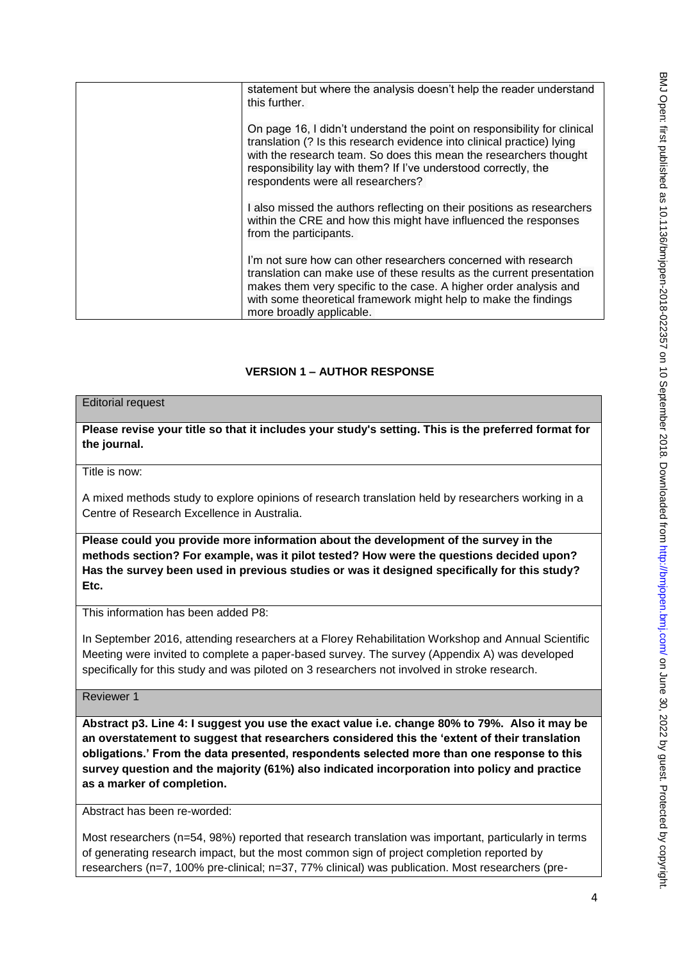| statement but where the analysis doesn't help the reader understand<br>this further.                                                                                                                                                                                                                                            |
|---------------------------------------------------------------------------------------------------------------------------------------------------------------------------------------------------------------------------------------------------------------------------------------------------------------------------------|
| On page 16, I didn't understand the point on responsibility for clinical<br>translation (? Is this research evidence into clinical practice) lying<br>with the research team. So does this mean the researchers thought<br>responsibility lay with them? If I've understood correctly, the<br>respondents were all researchers? |
| I also missed the authors reflecting on their positions as researchers<br>within the CRE and how this might have influenced the responses<br>from the participants.                                                                                                                                                             |
| I'm not sure how can other researchers concerned with research<br>translation can make use of these results as the current presentation<br>makes them very specific to the case. A higher order analysis and<br>with some theoretical framework might help to make the findings<br>more broadly applicable.                     |

# **VERSION 1 – AUTHOR RESPONSE**

### Editorial request

## **Please revise your title so that it includes your study's setting. This is the preferred format for the journal.**

Title is now:

A mixed methods study to explore opinions of research translation held by researchers working in a Centre of Research Excellence in Australia.

**Please could you provide more information about the development of the survey in the methods section? For example, was it pilot tested? How were the questions decided upon? Has the survey been used in previous studies or was it designed specifically for this study? Etc.** 

This information has been added P8:

In September 2016, attending researchers at a Florey Rehabilitation Workshop and Annual Scientific Meeting were invited to complete a paper-based survey. The survey (Appendix A) was developed specifically for this study and was piloted on 3 researchers not involved in stroke research.

Reviewer 1

**Abstract p3. Line 4: I suggest you use the exact value i.e. change 80% to 79%. Also it may be an overstatement to suggest that researchers considered this the 'extent of their translation obligations.' From the data presented, respondents selected more than one response to this survey question and the majority (61%) also indicated incorporation into policy and practice as a marker of completion.** 

Abstract has been re-worded:

Most researchers (n=54, 98%) reported that research translation was important, particularly in terms of generating research impact, but the most common sign of project completion reported by researchers (n=7, 100% pre-clinical; n=37, 77% clinical) was publication. Most researchers (pre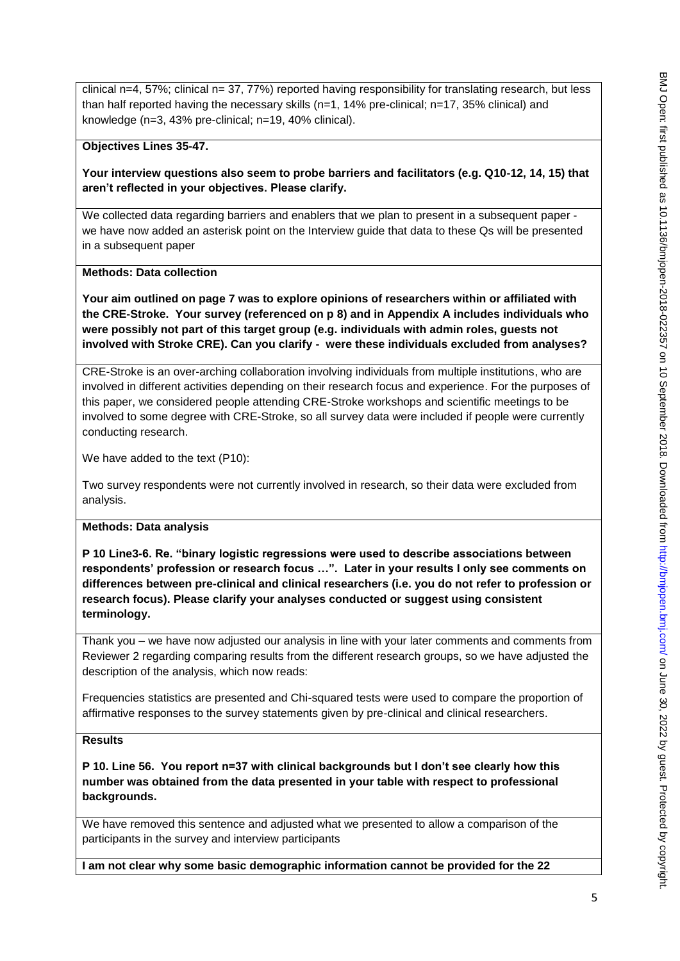clinical n=4, 57%; clinical n= 37, 77%) reported having responsibility for translating research, but less than half reported having the necessary skills ( $n=1$ , 14% pre-clinical;  $n=17$ , 35% clinical) and knowledge (n=3, 43% pre-clinical; n=19, 40% clinical).

## **Objectives Lines 35-47.**

**Your interview questions also seem to probe barriers and facilitators (e.g. Q10-12, 14, 15) that aren't reflected in your objectives. Please clarify.**

We collected data regarding barriers and enablers that we plan to present in a subsequent paper we have now added an asterisk point on the Interview guide that data to these Qs will be presented in a subsequent paper

## **Methods: Data collection**

**Your aim outlined on page 7 was to explore opinions of researchers within or affiliated with the CRE-Stroke. Your survey (referenced on p 8) and in Appendix A includes individuals who were possibly not part of this target group (e.g. individuals with admin roles, guests not involved with Stroke CRE). Can you clarify - were these individuals excluded from analyses?**

CRE-Stroke is an over-arching collaboration involving individuals from multiple institutions, who are involved in different activities depending on their research focus and experience. For the purposes of this paper, we considered people attending CRE-Stroke workshops and scientific meetings to be involved to some degree with CRE-Stroke, so all survey data were included if people were currently conducting research.

We have added to the text (P10):

Two survey respondents were not currently involved in research, so their data were excluded from analysis.

#### **Methods: Data analysis**

**P 10 Line3-6. Re. "binary logistic regressions were used to describe associations between respondents' profession or research focus …". Later in your results I only see comments on differences between pre-clinical and clinical researchers (i.e. you do not refer to profession or research focus). Please clarify your analyses conducted or suggest using consistent terminology.**

Thank you – we have now adjusted our analysis in line with your later comments and comments from Reviewer 2 regarding comparing results from the different research groups, so we have adjusted the description of the analysis, which now reads:

Frequencies statistics are presented and Chi-squared tests were used to compare the proportion of affirmative responses to the survey statements given by pre-clinical and clinical researchers.

#### **Results**

**P 10. Line 56. You report n=37 with clinical backgrounds but I don't see clearly how this number was obtained from the data presented in your table with respect to professional backgrounds.**

We have removed this sentence and adjusted what we presented to allow a comparison of the participants in the survey and interview participants

**I am not clear why some basic demographic information cannot be provided for the 22**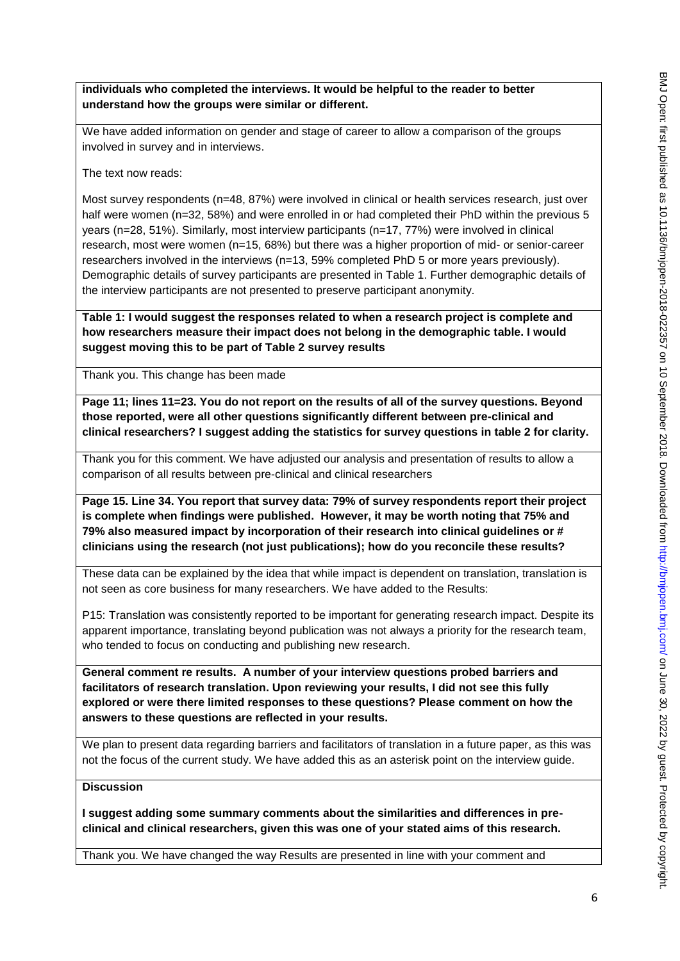**individuals who completed the interviews. It would be helpful to the reader to better understand how the groups were similar or different.** 

We have added information on gender and stage of career to allow a comparison of the groups involved in survey and in interviews.

The text now reads:

Most survey respondents (n=48, 87%) were involved in clinical or health services research, just over half were women (n=32, 58%) and were enrolled in or had completed their PhD within the previous 5 years (n=28, 51%). Similarly, most interview participants (n=17, 77%) were involved in clinical research, most were women (n=15, 68%) but there was a higher proportion of mid- or senior-career researchers involved in the interviews (n=13, 59% completed PhD 5 or more years previously). Demographic details of survey participants are presented in Table 1. Further demographic details of the interview participants are not presented to preserve participant anonymity.

**Table 1: I would suggest the responses related to when a research project is complete and how researchers measure their impact does not belong in the demographic table. I would suggest moving this to be part of Table 2 survey results**

Thank you. This change has been made

**Page 11; lines 11=23. You do not report on the results of all of the survey questions. Beyond those reported, were all other questions significantly different between pre-clinical and clinical researchers? I suggest adding the statistics for survey questions in table 2 for clarity.**

Thank you for this comment. We have adjusted our analysis and presentation of results to allow a comparison of all results between pre-clinical and clinical researchers

**Page 15. Line 34. You report that survey data: 79% of survey respondents report their project is complete when findings were published. However, it may be worth noting that 75% and 79% also measured impact by incorporation of their research into clinical guidelines or # clinicians using the research (not just publications); how do you reconcile these results?** 

These data can be explained by the idea that while impact is dependent on translation, translation is not seen as core business for many researchers. We have added to the Results:

P15: Translation was consistently reported to be important for generating research impact. Despite its apparent importance, translating beyond publication was not always a priority for the research team, who tended to focus on conducting and publishing new research.

**General comment re results. A number of your interview questions probed barriers and facilitators of research translation. Upon reviewing your results, I did not see this fully explored or were there limited responses to these questions? Please comment on how the answers to these questions are reflected in your results.**

We plan to present data regarding barriers and facilitators of translation in a future paper, as this was not the focus of the current study. We have added this as an asterisk point on the interview guide.

## **Discussion**

**I suggest adding some summary comments about the similarities and differences in preclinical and clinical researchers, given this was one of your stated aims of this research.**

Thank you. We have changed the way Results are presented in line with your comment and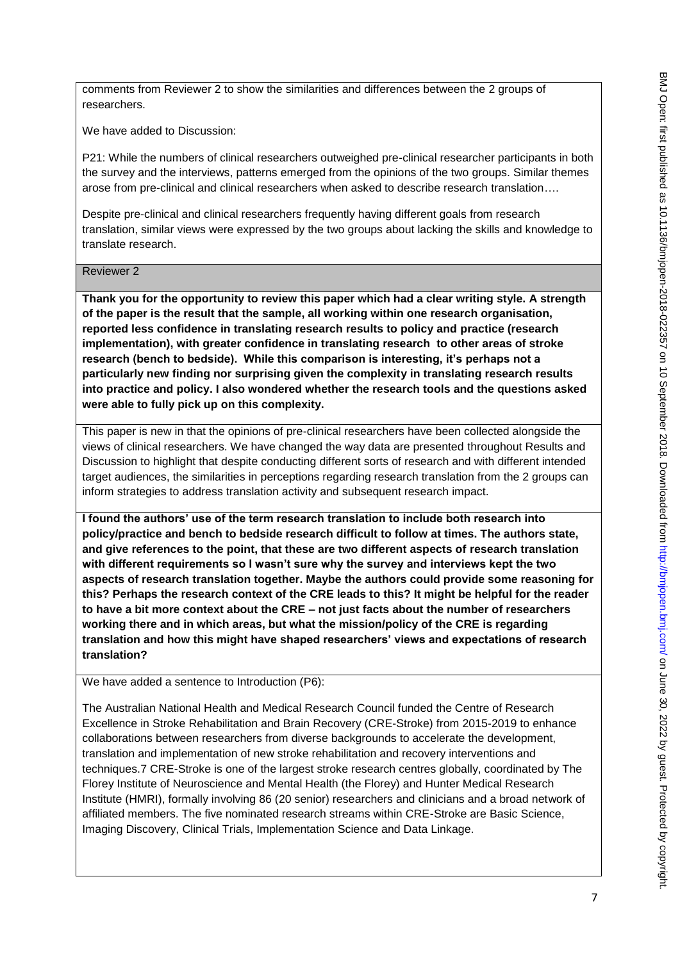comments from Reviewer 2 to show the similarities and differences between the 2 groups of researchers.

We have added to Discussion:

P21: While the numbers of clinical researchers outweighed pre-clinical researcher participants in both the survey and the interviews, patterns emerged from the opinions of the two groups. Similar themes arose from pre-clinical and clinical researchers when asked to describe research translation….

Despite pre-clinical and clinical researchers frequently having different goals from research translation, similar views were expressed by the two groups about lacking the skills and knowledge to translate research.

#### Reviewer 2

**Thank you for the opportunity to review this paper which had a clear writing style. A strength of the paper is the result that the sample, all working within one research organisation, reported less confidence in translating research results to policy and practice (research implementation), with greater confidence in translating research to other areas of stroke research (bench to bedside). While this comparison is interesting, it's perhaps not a particularly new finding nor surprising given the complexity in translating research results into practice and policy. I also wondered whether the research tools and the questions asked were able to fully pick up on this complexity.** 

This paper is new in that the opinions of pre-clinical researchers have been collected alongside the views of clinical researchers. We have changed the way data are presented throughout Results and Discussion to highlight that despite conducting different sorts of research and with different intended target audiences, the similarities in perceptions regarding research translation from the 2 groups can inform strategies to address translation activity and subsequent research impact.

**I found the authors' use of the term research translation to include both research into policy/practice and bench to bedside research difficult to follow at times. The authors state, and give references to the point, that these are two different aspects of research translation with different requirements so I wasn't sure why the survey and interviews kept the two aspects of research translation together. Maybe the authors could provide some reasoning for this? Perhaps the research context of the CRE leads to this? It might be helpful for the reader to have a bit more context about the CRE – not just facts about the number of researchers working there and in which areas, but what the mission/policy of the CRE is regarding translation and how this might have shaped researchers' views and expectations of research translation?** 

We have added a sentence to Introduction (P6):

The Australian National Health and Medical Research Council funded the Centre of Research Excellence in Stroke Rehabilitation and Brain Recovery (CRE-Stroke) from 2015-2019 to enhance collaborations between researchers from diverse backgrounds to accelerate the development, translation and implementation of new stroke rehabilitation and recovery interventions and techniques.7 CRE-Stroke is one of the largest stroke research centres globally, coordinated by The Florey Institute of Neuroscience and Mental Health (the Florey) and Hunter Medical Research Institute (HMRI), formally involving 86 (20 senior) researchers and clinicians and a broad network of affiliated members. The five nominated research streams within CRE-Stroke are Basic Science, Imaging Discovery, Clinical Trials, Implementation Science and Data Linkage.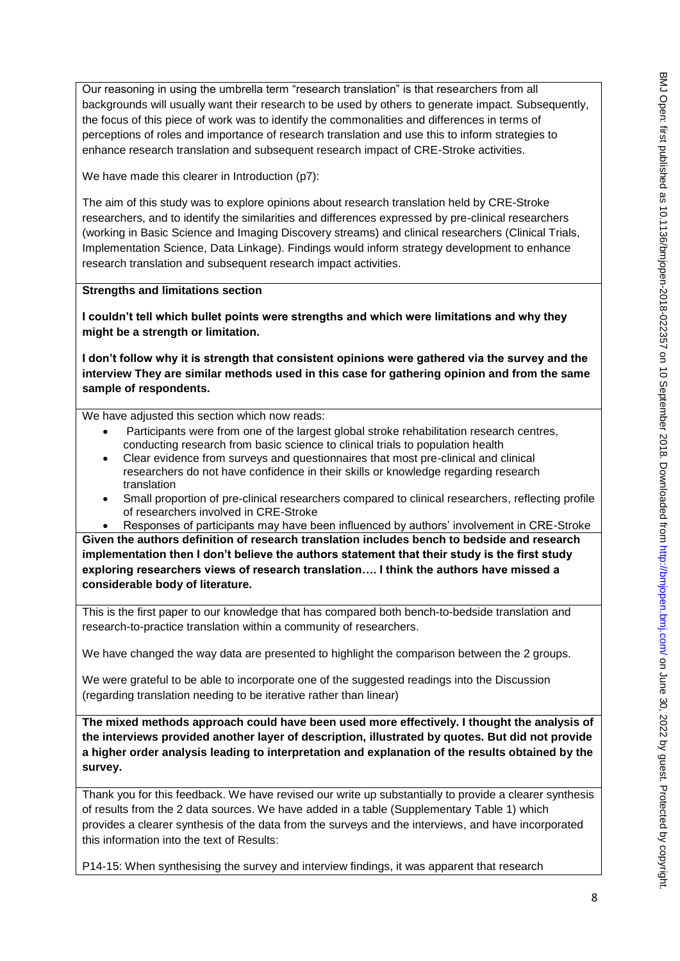Our reasoning in using the umbrella term "research translation" is that researchers from all backgrounds will usually want their research to be used by others to generate impact. Subsequently, the focus of this piece of work was to identify the commonalities and differences in terms of perceptions of roles and importance of research translation and use this to inform strategies to enhance research translation and subsequent research impact of CRE-Stroke activities.

We have made this clearer in Introduction (p7):

The aim of this study was to explore opinions about research translation held by CRE-Stroke researchers, and to identify the similarities and differences expressed by pre-clinical researchers (working in Basic Science and Imaging Discovery streams) and clinical researchers (Clinical Trials, Implementation Science, Data Linkage). Findings would inform strategy development to enhance research translation and subsequent research impact activities.

**Strengths and limitations section**

**I couldn't tell which bullet points were strengths and which were limitations and why they might be a strength or limitation.**

**I don't follow why it is strength that consistent opinions were gathered via the survey and the interview They are similar methods used in this case for gathering opinion and from the same sample of respondents.**

We have adjusted this section which now reads:

- Participants were from one of the largest global stroke rehabilitation research centres, conducting research from basic science to clinical trials to population health
- Clear evidence from surveys and questionnaires that most pre-clinical and clinical researchers do not have confidence in their skills or knowledge regarding research translation
- Small proportion of pre-clinical researchers compared to clinical researchers, reflecting profile of researchers involved in CRE-Stroke
	- Responses of participants may have been influenced by authors' involvement in CRE-Stroke

**Given the authors definition of research translation includes bench to bedside and research implementation then I don't believe the authors statement that their study is the first study exploring researchers views of research translation…. I think the authors have missed a considerable body of literature.**

This is the first paper to our knowledge that has compared both bench-to-bedside translation and research-to-practice translation within a community of researchers.

We have changed the way data are presented to highlight the comparison between the 2 groups.

We were grateful to be able to incorporate one of the suggested readings into the Discussion (regarding translation needing to be iterative rather than linear)

**The mixed methods approach could have been used more effectively. I thought the analysis of the interviews provided another layer of description, illustrated by quotes. But did not provide a higher order analysis leading to interpretation and explanation of the results obtained by the survey.** 

Thank you for this feedback. We have revised our write up substantially to provide a clearer synthesis of results from the 2 data sources. We have added in a table (Supplementary Table 1) which provides a clearer synthesis of the data from the surveys and the interviews, and have incorporated this information into the text of Results:

P14-15: When synthesising the survey and interview findings, it was apparent that research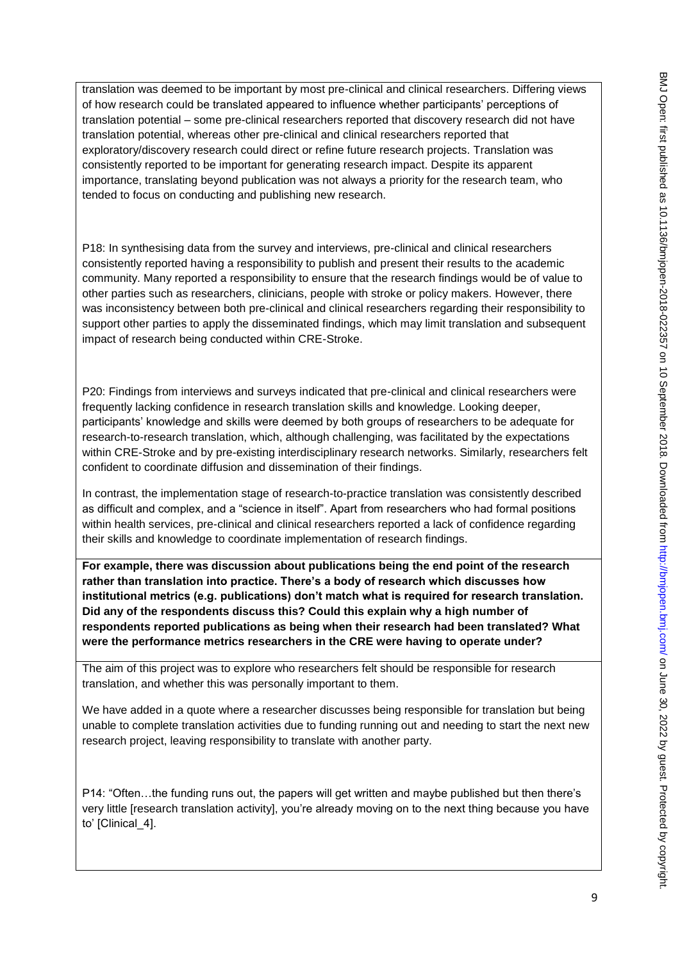translation was deemed to be important by most pre-clinical and clinical researchers. Differing views of how research could be translated appeared to influence whether participants' perceptions of translation potential – some pre-clinical researchers reported that discovery research did not have translation potential, whereas other pre-clinical and clinical researchers reported that exploratory/discovery research could direct or refine future research projects. Translation was consistently reported to be important for generating research impact. Despite its apparent importance, translating beyond publication was not always a priority for the research team, who tended to focus on conducting and publishing new research.

P18: In synthesising data from the survey and interviews, pre-clinical and clinical researchers consistently reported having a responsibility to publish and present their results to the academic community. Many reported a responsibility to ensure that the research findings would be of value to other parties such as researchers, clinicians, people with stroke or policy makers. However, there was inconsistency between both pre-clinical and clinical researchers regarding their responsibility to support other parties to apply the disseminated findings, which may limit translation and subsequent impact of research being conducted within CRE-Stroke.

P20: Findings from interviews and surveys indicated that pre-clinical and clinical researchers were frequently lacking confidence in research translation skills and knowledge. Looking deeper, participants' knowledge and skills were deemed by both groups of researchers to be adequate for research-to-research translation, which, although challenging, was facilitated by the expectations within CRE-Stroke and by pre-existing interdisciplinary research networks. Similarly, researchers felt confident to coordinate diffusion and dissemination of their findings.

In contrast, the implementation stage of research-to-practice translation was consistently described as difficult and complex, and a "science in itself". Apart from researchers who had formal positions within health services, pre-clinical and clinical researchers reported a lack of confidence regarding their skills and knowledge to coordinate implementation of research findings.

**For example, there was discussion about publications being the end point of the research rather than translation into practice. There's a body of research which discusses how institutional metrics (e.g. publications) don't match what is required for research translation. Did any of the respondents discuss this? Could this explain why a high number of respondents reported publications as being when their research had been translated? What were the performance metrics researchers in the CRE were having to operate under?**

The aim of this project was to explore who researchers felt should be responsible for research translation, and whether this was personally important to them.

We have added in a quote where a researcher discusses being responsible for translation but being unable to complete translation activities due to funding running out and needing to start the next new research project, leaving responsibility to translate with another party.

P14: "Often…the funding runs out, the papers will get written and maybe published but then there's very little [research translation activity], you're already moving on to the next thing because you have to' [Clinical 4].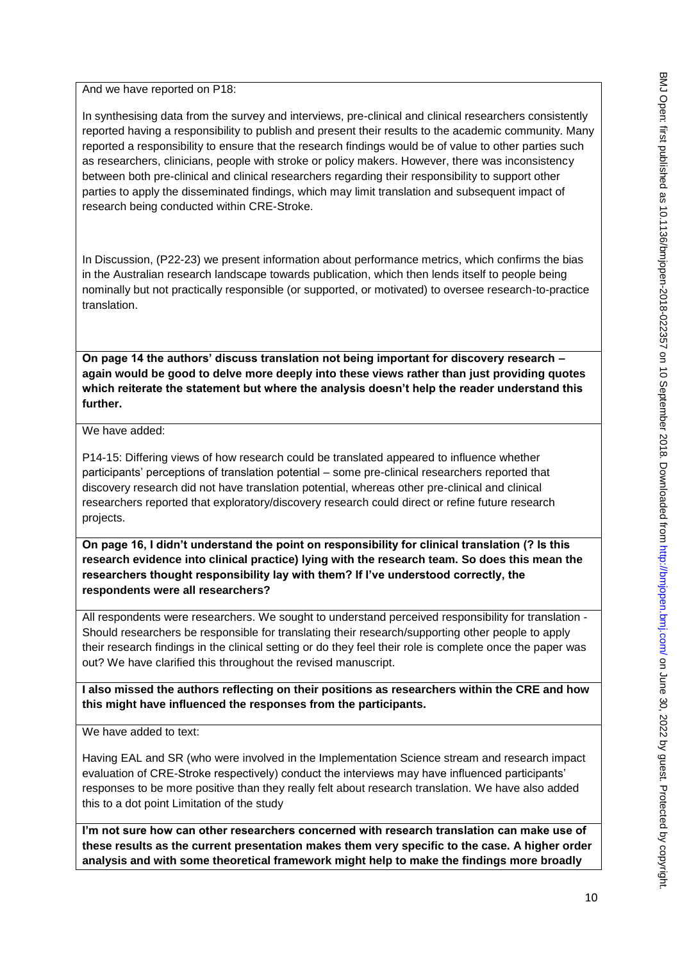And we have reported on P18:

In synthesising data from the survey and interviews, pre-clinical and clinical researchers consistently reported having a responsibility to publish and present their results to the academic community. Many reported a responsibility to ensure that the research findings would be of value to other parties such as researchers, clinicians, people with stroke or policy makers. However, there was inconsistency between both pre-clinical and clinical researchers regarding their responsibility to support other parties to apply the disseminated findings, which may limit translation and subsequent impact of research being conducted within CRE-Stroke.

In Discussion, (P22-23) we present information about performance metrics, which confirms the bias in the Australian research landscape towards publication, which then lends itself to people being nominally but not practically responsible (or supported, or motivated) to oversee research-to-practice translation.

**On page 14 the authors' discuss translation not being important for discovery research – again would be good to delve more deeply into these views rather than just providing quotes which reiterate the statement but where the analysis doesn't help the reader understand this further.**

## We have added:

P14-15: Differing views of how research could be translated appeared to influence whether participants' perceptions of translation potential – some pre-clinical researchers reported that discovery research did not have translation potential, whereas other pre-clinical and clinical researchers reported that exploratory/discovery research could direct or refine future research projects.

**On page 16, I didn't understand the point on responsibility for clinical translation (? Is this research evidence into clinical practice) lying with the research team. So does this mean the researchers thought responsibility lay with them? If I've understood correctly, the respondents were all researchers?**

All respondents were researchers. We sought to understand perceived responsibility for translation - Should researchers be responsible for translating their research/supporting other people to apply their research findings in the clinical setting or do they feel their role is complete once the paper was out? We have clarified this throughout the revised manuscript.

**I also missed the authors reflecting on their positions as researchers within the CRE and how this might have influenced the responses from the participants.** 

We have added to text:

Having EAL and SR (who were involved in the Implementation Science stream and research impact evaluation of CRE-Stroke respectively) conduct the interviews may have influenced participants' responses to be more positive than they really felt about research translation. We have also added this to a dot point Limitation of the study

**I'm not sure how can other researchers concerned with research translation can make use of these results as the current presentation makes them very specific to the case. A higher order analysis and with some theoretical framework might help to make the findings more broadly**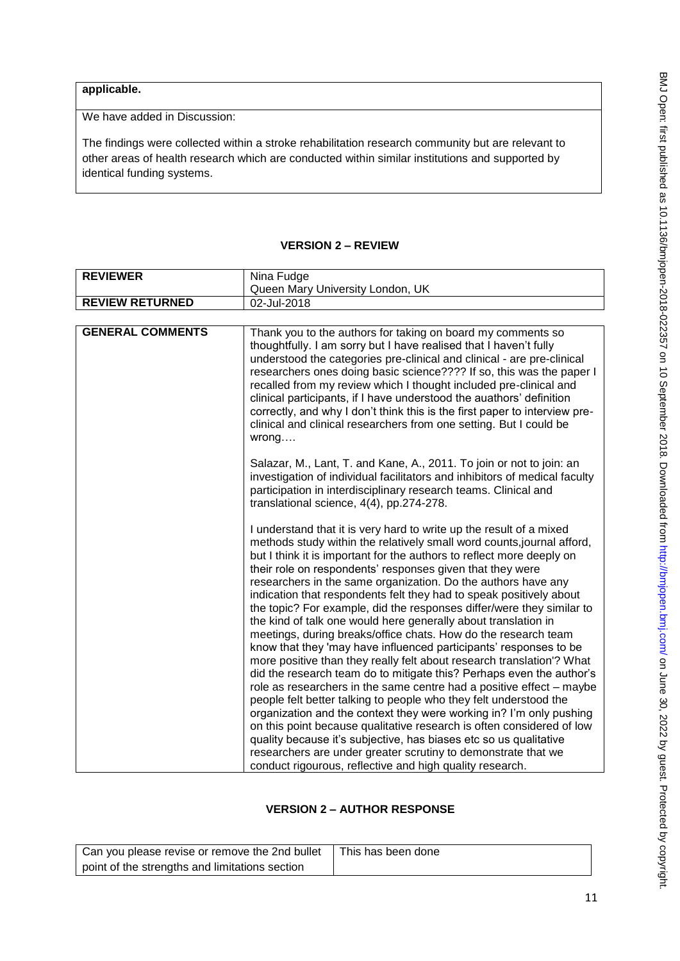# **applicable.**

We have added in Discussion:

The findings were collected within a stroke rehabilitation research community but are relevant to other areas of health research which are conducted within similar institutions and supported by identical funding systems.

# **VERSION 2 – REVIEW**

| <b>REVIEWER</b>         | Nina Fudge                                                                                                                                                                                                                                                                                                                                                                                                                                                                                                                                                                                                                                                                                                                                                                                                                                                                                                                                                                                                                                                                                                                                                                                                                                                                                                                                                    |
|-------------------------|---------------------------------------------------------------------------------------------------------------------------------------------------------------------------------------------------------------------------------------------------------------------------------------------------------------------------------------------------------------------------------------------------------------------------------------------------------------------------------------------------------------------------------------------------------------------------------------------------------------------------------------------------------------------------------------------------------------------------------------------------------------------------------------------------------------------------------------------------------------------------------------------------------------------------------------------------------------------------------------------------------------------------------------------------------------------------------------------------------------------------------------------------------------------------------------------------------------------------------------------------------------------------------------------------------------------------------------------------------------|
|                         | Queen Mary University London, UK                                                                                                                                                                                                                                                                                                                                                                                                                                                                                                                                                                                                                                                                                                                                                                                                                                                                                                                                                                                                                                                                                                                                                                                                                                                                                                                              |
| <b>REVIEW RETURNED</b>  | 02-Jul-2018                                                                                                                                                                                                                                                                                                                                                                                                                                                                                                                                                                                                                                                                                                                                                                                                                                                                                                                                                                                                                                                                                                                                                                                                                                                                                                                                                   |
|                         |                                                                                                                                                                                                                                                                                                                                                                                                                                                                                                                                                                                                                                                                                                                                                                                                                                                                                                                                                                                                                                                                                                                                                                                                                                                                                                                                                               |
| <b>GENERAL COMMENTS</b> | Thank you to the authors for taking on board my comments so<br>thoughtfully. I am sorry but I have realised that I haven't fully<br>understood the categories pre-clinical and clinical - are pre-clinical<br>researchers ones doing basic science???? If so, this was the paper I<br>recalled from my review which I thought included pre-clinical and<br>clinical participants, if I have understood the auathors' definition<br>correctly, and why I don't think this is the first paper to interview pre-<br>clinical and clinical researchers from one setting. But I could be<br>wrong                                                                                                                                                                                                                                                                                                                                                                                                                                                                                                                                                                                                                                                                                                                                                                  |
|                         | Salazar, M., Lant, T. and Kane, A., 2011. To join or not to join: an<br>investigation of individual facilitators and inhibitors of medical faculty<br>participation in interdisciplinary research teams. Clinical and<br>translational science, 4(4), pp.274-278.                                                                                                                                                                                                                                                                                                                                                                                                                                                                                                                                                                                                                                                                                                                                                                                                                                                                                                                                                                                                                                                                                             |
|                         | I understand that it is very hard to write up the result of a mixed<br>methods study within the relatively small word counts, journal afford,<br>but I think it is important for the authors to reflect more deeply on<br>their role on respondents' responses given that they were<br>researchers in the same organization. Do the authors have any<br>indication that respondents felt they had to speak positively about<br>the topic? For example, did the responses differ/were they similar to<br>the kind of talk one would here generally about translation in<br>meetings, during breaks/office chats. How do the research team<br>know that they 'may have influenced participants' responses to be<br>more positive than they really felt about research translation'? What<br>did the research team do to mitigate this? Perhaps even the author's<br>role as researchers in the same centre had a positive effect - maybe<br>people felt better talking to people who they felt understood the<br>organization and the context they were working in? I'm only pushing<br>on this point because qualitative research is often considered of low<br>quality because it's subjective, has biases etc so us qualitative<br>researchers are under greater scrutiny to demonstrate that we<br>conduct rigourous, reflective and high quality research. |

# **VERSION 2 – AUTHOR RESPONSE**

| Can you please revise or remove the 2nd bullet | This has been done |
|------------------------------------------------|--------------------|
| point of the strengths and limitations section |                    |